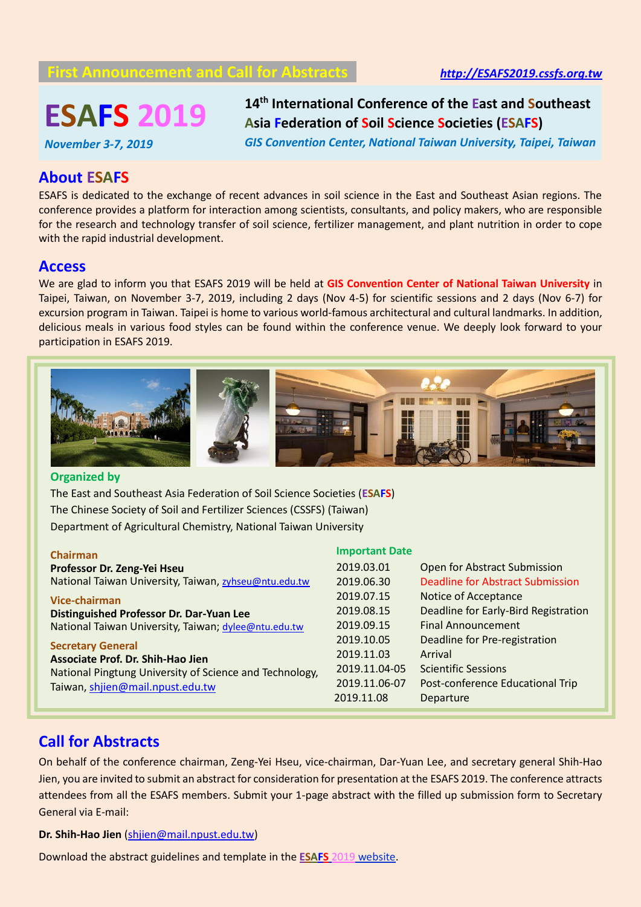# **First Announcement and Call for Abstracts** *[http://ESAFS2019.cssfs.org.tw](http://esafs2019.cssfs.org.tw/)*

# **ESAFS 2019**

**14 th International Conference of the East and Southeast Asia Federation of Soil Science Societies (ESAFS)**

*November 3-7, 2019*

*GIS Convention Center, National Taiwan University, Taipei, Taiwan*

# **About ESAFS**

ESAFS is dedicated to the exchange of recent advances in soil science in the East and Southeast Asian regions. The conference provides a platform for interaction among scientists, consultants, and policy makers, who are responsible for the research and technology transfer of soil science, fertilizer management, and plant nutrition in order to cope with the rapid industrial development.

### **Access**

We are glad to inform you that ESAFS 2019 will be held at **GIS Convention Center of National Taiwan University** in Taipei, Taiwan, on November 3-7, 2019, including 2 days (Nov 4-5) for scientific sessions and 2 days (Nov 6-7) for excursion program in Taiwan. Taipei is home to various world-famous architectural and cultural landmarks. In addition, delicious meals in various food styles can be found within the conference venue. We deeply look forward to your participation in ESAFS 2019.



#### **Organized by**

The East and Southeast Asia Federation of Soil Science Societies (**ESAFS**) The Chinese Society of Soil and Fertilizer Sciences (CSSFS) (Taiwan) Department of Agricultural Chemistry, National Taiwan University

| <b>Chairman</b>                                         | <b>Important Date</b> |                                      |
|---------------------------------------------------------|-----------------------|--------------------------------------|
| Professor Dr. Zeng-Yei Hseu                             | 2019.03.01            | Open for Abstract Submission         |
| National Taiwan University, Taiwan, zyhseu@ntu.edu.tw   | 2019.06.30            | Deadline for Abstract Submission     |
| Vice-chairman                                           | 2019.07.15            | Notice of Acceptance                 |
| <b>Distinguished Professor Dr. Dar-Yuan Lee</b>         | 2019.08.15            | Deadline for Early-Bird Registration |
| National Taiwan University, Taiwan; dylee@ntu.edu.tw    | 2019.09.15            | <b>Final Announcement</b>            |
| <b>Secretary General</b>                                | 2019.10.05            | Deadline for Pre-registration        |
| Associate Prof. Dr. Shih-Hao Jien                       | 2019.11.03            | Arrival                              |
| National Pingtung University of Science and Technology, | 2019.11.04-05         | <b>Scientific Sessions</b>           |
| Taiwan, shjien@mail.npust.edu.tw                        | 2019.11.06-07         | Post-conference Educational Trip     |
|                                                         | 2019.11.08            | Departure                            |
|                                                         |                       |                                      |

# **Call for Abstracts**

On behalf of the conference chairman, Zeng-Yei Hseu, vice-chairman, Dar-Yuan Lee, and secretary general Shih-Hao Jien, you are invited to submit an abstract for consideration for presentation at the ESAFS 2019. The conference attracts attendees from all the ESAFS members. Submit your 1-page abstract with the filled up submission form to Secretary General via E-mail:

**Dr. Shih-Hao Jien** [\(shjien@mail.npust.edu.tw\)](mailto:shjien@mail.npust.edu.tw)

Download the abstract guidelines and template in the **ESAFS** 2019 [website.](http://esafs2019.cssfs.org.tw/)